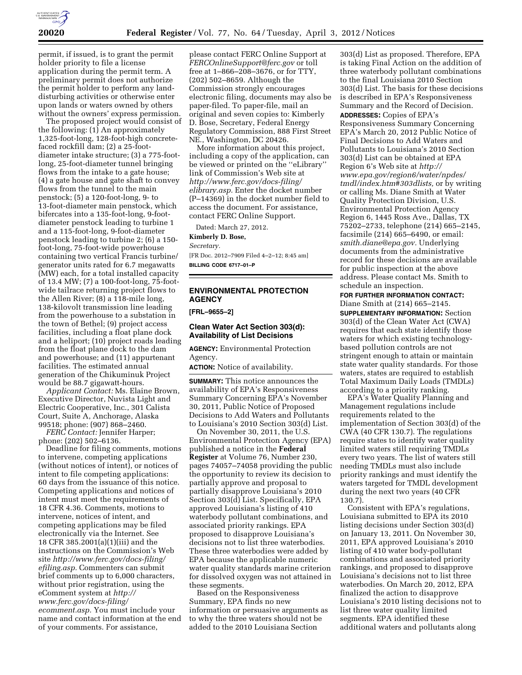

permit, if issued, is to grant the permit holder priority to file a license application during the permit term. A preliminary permit does not authorize the permit holder to perform any landdisturbing activities or otherwise enter upon lands or waters owned by others without the owners' express permission.

The proposed project would consist of the following: (1) An approximately 1,325-foot-long, 128-foot-high concretefaced rockfill dam; (2) a 25-footdiameter intake structure; (3) a 775-footlong, 25-foot-diameter tunnel bringing flows from the intake to a gate house; (4) a gate house and gate shaft to convey flows from the tunnel to the main penstock; (5) a 120-foot-long, 9- to 13-foot-diameter main penstock, which bifercates into a 135-foot-long, 9-footdiameter penstock leading to turbine 1 and a 115-foot-long, 9-foot-diameter penstock leading to turbine 2; (6) a 150 foot-long, 75-foot-wide powerhouse containing two vertical Francis turbine/ generator units rated for 6.7 megawatts (MW) each, for a total installed capacity of 13.4 MW; (7) a 100-foot-long, 75-footwide tailrace returning project flows to the Allen River; (8) a 118-mile long, 138-kilovolt transmission line leading from the powerhouse to a substation in the town of Bethel; (9) project access facilities, including a float plane dock and a heliport; (10) project roads leading from the float plane dock to the dam and powerhouse; and (11) appurtenant facilities. The estimated annual generation of the Chikuminuk Project would be 88.7 gigawatt-hours.

*Applicant Contact:* Ms. Elaine Brown, Executive Director, Nuvista Light and Electric Cooperative, Inc., 301 Calista Court, Suite A, Anchorage, Alaska 99518; phone: (907) 868–2460.

*FERC Contact:* Jennifer Harper; phone: (202) 502–6136.

Deadline for filing comments, motions to intervene, competing applications (without notices of intent), or notices of intent to file competing applications: 60 days from the issuance of this notice. Competing applications and notices of intent must meet the requirements of 18 CFR 4.36. Comments, motions to intervene, notices of intent, and competing applications may be filed electronically via the Internet. See 18 CFR 385.2001(a)(1)(iii) and the instructions on the Commission's Web site *[http://www.ferc.gov/docs-filing/](http://www.ferc.gov/docs-filing/efiling.asp) [efiling.asp.](http://www.ferc.gov/docs-filing/efiling.asp)* Commenters can submit brief comments up to 6,000 characters, without prior registration, using the eComment system at *[http://](http://www.ferc.gov/docs-filing/ecomment.asp) [www.ferc.gov/docs-filing/](http://www.ferc.gov/docs-filing/ecomment.asp)  [ecomment.asp.](http://www.ferc.gov/docs-filing/ecomment.asp)* You must include your name and contact information at the end of your comments. For assistance,

please contact FERC Online Support at *[FERCOnlineSupport@ferc.gov](mailto:FERCOnlineSupport@ferc.gov)* or toll free at 1–866–208–3676, or for TTY, (202) 502–8659. Although the Commission strongly encourages electronic filing, documents may also be paper-filed. To paper-file, mail an original and seven copies to: Kimberly D. Bose, Secretary, Federal Energy Regulatory Commission, 888 First Street NE., Washington, DC 20426.

More information about this project, including a copy of the application, can be viewed or printed on the ''eLibrary'' link of Commission's Web site at *[http://www.ferc.gov/docs-filing/](http://www.ferc.gov/docs-filing/elibrary.asp) [elibrary.asp.](http://www.ferc.gov/docs-filing/elibrary.asp)* Enter the docket number (P–14369) in the docket number field to access the document. For assistance, contact FERC Online Support.

Dated: March 27, 2012.

**Kimberly D. Bose,** 

*Secretary.* 

[FR Doc. 2012–7909 Filed 4–2–12; 8:45 am] **BILLING CODE 6717–01–P** 

# **ENVIRONMENTAL PROTECTION AGENCY**

**[FRL–9655–2]** 

#### **Clean Water Act Section 303(d): Availability of List Decisions**

**AGENCY:** Environmental Protection Agency.

**ACTION:** Notice of availability.

**SUMMARY:** This notice announces the availability of EPA's Responsiveness Summary Concerning EPA's November 30, 2011, Public Notice of Proposed Decisions to Add Waters and Pollutants to Louisiana's 2010 Section 303(d) List.

On November 30, 2011, the U.S. Environmental Protection Agency (EPA) published a notice in the **Federal Register** at Volume 76, Number 230, pages 74057–74058 providing the public the opportunity to review its decision to partially approve and proposal to partially disapprove Louisiana's 2010 Section 303(d) List. Specifically, EPA approved Louisiana's listing of 410 waterbody pollutant combinations, and associated priority rankings. EPA proposed to disapprove Louisiana's decisions not to list three waterbodies. These three waterbodies were added by EPA because the applicable numeric water quality standards marine criterion for dissolved oxygen was not attained in these segments.

Based on the Responsiveness Summary, EPA finds no new information or persuasive arguments as to why the three waters should not be added to the 2010 Louisiana Section

303(d) List as proposed. Therefore, EPA is taking Final Action on the addition of three waterbody pollutant combinations to the final Louisiana 2010 Section 303(d) List. The basis for these decisions is described in EPA's Responsiveness Summary and the Record of Decision. **ADDRESSES:** Copies of EPA's Responsiveness Summary Concerning EPA's March 20, 2012 Public Notice of Final Decisions to Add Waters and Pollutants to Louisiana's 2010 Section 303(d) List can be obtained at EPA Region 6's Web site at *[http://](http://www.epa.gov/region6/water/npdes/tmdl/index.htm#303dlists) [www.epa.gov/region6/water/npdes/](http://www.epa.gov/region6/water/npdes/tmdl/index.htm#303dlists) [tmdl/index.htm#303dlists,](http://www.epa.gov/region6/water/npdes/tmdl/index.htm#303dlists)* or by writing or calling Ms. Diane Smith at Water Quality Protection Division, U.S. Environmental Protection Agency Region 6, 1445 Ross Ave., Dallas, TX 75202–2733, telephone (214) 665–2145, facsimile (214) 665–6490, or email: *[smith.diane@epa.gov.](mailto:smith.diane@epa.gov)* Underlying documents from the administrative record for these decisions are available for public inspection at the above address. Please contact Ms. Smith to schedule an inspection.

**FOR FURTHER INFORMATION CONTACT:**  Diane Smith at (214) 665–2145.

**SUPPLEMENTARY INFORMATION:** Section 303(d) of the Clean Water Act (CWA) requires that each state identify those waters for which existing technologybased pollution controls are not stringent enough to attain or maintain state water quality standards. For those waters, states are required to establish Total Maximum Daily Loads (TMDLs) according to a priority ranking.

EPA's Water Quality Planning and Management regulations include requirements related to the implementation of Section 303(d) of the CWA (40 CFR 130.7). The regulations require states to identify water quality limited waters still requiring TMDLs every two years. The list of waters still needing TMDLs must also include priority rankings and must identify the waters targeted for TMDL development during the next two years (40 CFR 130.7).

Consistent with EPA's regulations, Louisiana submitted to EPA its 2010 listing decisions under Section 303(d) on January 13, 2011. On November 30, 2011, EPA approved Louisiana's 2010 listing of 410 water body-pollutant combinations and associated priority rankings, and proposed to disapprove Louisiana's decisions not to list three waterbodies. On March 20, 2012, EPA finalized the action to disapprove Louisiana's 2010 listing decisions not to list three water quality limited segments. EPA identified these additional waters and pollutants along